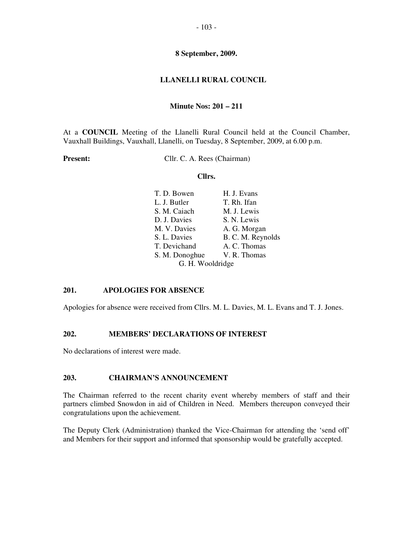### **LLANELLI RURAL COUNCIL**

#### **Minute Nos: 201 – 211**

At a **COUNCIL** Meeting of the Llanelli Rural Council held at the Council Chamber, Vauxhall Buildings, Vauxhall, Llanelli, on Tuesday, 8 September, 2009, at 6.00 p.m.

**Present:** Cllr. C. A. Rees (Chairman)

#### **Cllrs.**

| T. D. Bowen      | H. J. Evans       |
|------------------|-------------------|
| L. J. Butler     | T. Rh. Ifan       |
| S. M. Caiach     | M. J. Lewis       |
| D. J. Davies     | S. N. Lewis       |
| M. V. Davies     | A. G. Morgan      |
| S. L. Davies     | B. C. M. Reynolds |
| T. Devichand     | A. C. Thomas      |
| S. M. Donoghue   | V. R. Thomas      |
| G. H. Wooldridge |                   |

#### **201. APOLOGIES FOR ABSENCE**

Apologies for absence were received from Cllrs. M. L. Davies, M. L. Evans and T. J. Jones.

### **202. MEMBERS' DECLARATIONS OF INTEREST**

No declarations of interest were made.

#### **203. CHAIRMAN'S ANNOUNCEMENT**

The Chairman referred to the recent charity event whereby members of staff and their partners climbed Snowdon in aid of Children in Need. Members thereupon conveyed their congratulations upon the achievement.

The Deputy Clerk (Administration) thanked the Vice-Chairman for attending the 'send off' and Members for their support and informed that sponsorship would be gratefully accepted.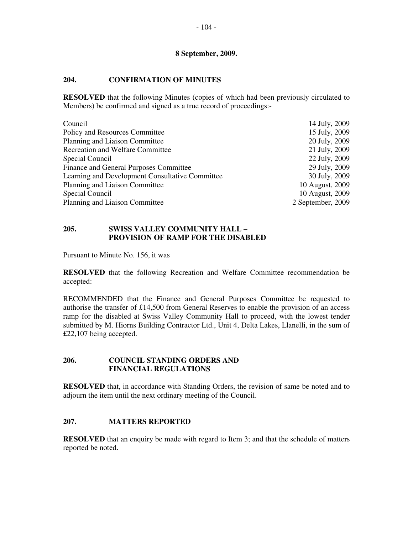# **204. CONFIRMATION OF MINUTES**

**RESOLVED** that the following Minutes (copies of which had been previously circulated to Members) be confirmed and signed as a true record of proceedings:-

| Council                                         | 14 July, 2009     |
|-------------------------------------------------|-------------------|
| Policy and Resources Committee                  | 15 July, 2009     |
| Planning and Liaison Committee                  | 20 July, 2009     |
| Recreation and Welfare Committee                | 21 July, 2009     |
| Special Council                                 | 22 July, 2009     |
| Finance and General Purposes Committee          | 29 July, 2009     |
| Learning and Development Consultative Committee | 30 July, 2009     |
| Planning and Liaison Committee                  | 10 August, 2009   |
| Special Council                                 | 10 August, 2009   |
| Planning and Liaison Committee                  | 2 September, 2009 |

## **205. SWISS VALLEY COMMUNITY HALL – PROVISION OF RAMP FOR THE DISABLED**

Pursuant to Minute No. 156, it was

**RESOLVED** that the following Recreation and Welfare Committee recommendation be accepted:

RECOMMENDED that the Finance and General Purposes Committee be requested to authorise the transfer of £14,500 from General Reserves to enable the provision of an access ramp for the disabled at Swiss Valley Community Hall to proceed, with the lowest tender submitted by M. Hiorns Building Contractor Ltd., Unit 4, Delta Lakes, Llanelli, in the sum of £22,107 being accepted.

# **206. COUNCIL STANDING ORDERS AND FINANCIAL REGULATIONS**

**RESOLVED** that, in accordance with Standing Orders, the revision of same be noted and to adjourn the item until the next ordinary meeting of the Council.

### **207. MATTERS REPORTED**

**RESOLVED** that an enquiry be made with regard to Item 3; and that the schedule of matters reported be noted.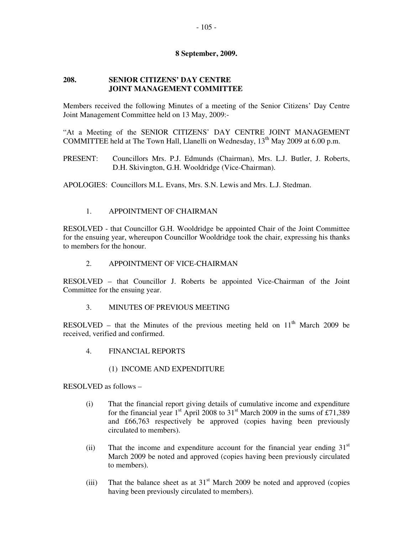### **208. SENIOR CITIZENS' DAY CENTRE JOINT MANAGEMENT COMMITTEE**

Members received the following Minutes of a meeting of the Senior Citizens' Day Centre Joint Management Committee held on 13 May, 2009:-

"At a Meeting of the SENIOR CITIZENS' DAY CENTRE JOINT MANAGEMENT COMMITTEE held at The Town Hall, Llanelli on Wednesday, 13<sup>th</sup> May 2009 at 6.00 p.m.

PRESENT: Councillors Mrs. P.J. Edmunds (Chairman), Mrs. L.J. Butler, J. Roberts, D.H. Skivington, G.H. Wooldridge (Vice-Chairman).

APOLOGIES: Councillors M.L. Evans, Mrs. S.N. Lewis and Mrs. L.J. Stedman.

### 1. APPOINTMENT OF CHAIRMAN

RESOLVED - that Councillor G.H. Wooldridge be appointed Chair of the Joint Committee for the ensuing year, whereupon Councillor Wooldridge took the chair, expressing his thanks to members for the honour.

2. APPOINTMENT OF VICE-CHAIRMAN

RESOLVED – that Councillor J. Roberts be appointed Vice-Chairman of the Joint Committee for the ensuing year.

3. MINUTES OF PREVIOUS MEETING

RESOLVED – that the Minutes of the previous meeting held on  $11<sup>th</sup>$  March 2009 be received, verified and confirmed.

4. FINANCIAL REPORTS

#### (1) INCOME AND EXPENDITURE

RESOLVED as follows –

- (i) That the financial report giving details of cumulative income and expenditure for the financial year 1<sup>st</sup> April 2008 to 31<sup>st</sup> March 2009 in the sums of £71,389 and £66,763 respectively be approved (copies having been previously circulated to members).
- (ii) That the income and expenditure account for the financial year ending  $31<sup>st</sup>$ March 2009 be noted and approved (copies having been previously circulated to members).
- (iii) That the balance sheet as at  $31<sup>st</sup>$  March 2009 be noted and approved (copies having been previously circulated to members).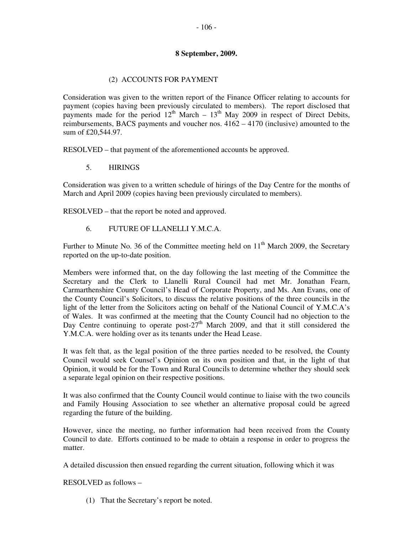# (2) ACCOUNTS FOR PAYMENT

Consideration was given to the written report of the Finance Officer relating to accounts for payment (copies having been previously circulated to members). The report disclosed that payments made for the period  $12<sup>th</sup>$  March –  $13<sup>th</sup>$  May 2009 in respect of Direct Debits, reimbursements, BACS payments and voucher nos.  $4162 - 4170$  (inclusive) amounted to the sum of £20,544.97.

RESOLVED – that payment of the aforementioned accounts be approved.

5. HIRINGS

Consideration was given to a written schedule of hirings of the Day Centre for the months of March and April 2009 (copies having been previously circulated to members).

RESOLVED – that the report be noted and approved.

6. FUTURE OF LLANELLI Y.M.C.A.

Further to Minute No. 36 of the Committee meeting held on  $11<sup>th</sup>$  March 2009, the Secretary reported on the up-to-date position.

Members were informed that, on the day following the last meeting of the Committee the Secretary and the Clerk to Llanelli Rural Council had met Mr. Jonathan Fearn, Carmarthenshire County Council's Head of Corporate Property, and Ms. Ann Evans, one of the County Council's Solicitors, to discuss the relative positions of the three councils in the light of the letter from the Solicitors acting on behalf of the National Council of Y.M.C.A's of Wales. It was confirmed at the meeting that the County Council had no objection to the Day Centre continuing to operate post- $27<sup>th</sup>$  March 2009, and that it still considered the Y.M.C.A. were holding over as its tenants under the Head Lease.

It was felt that, as the legal position of the three parties needed to be resolved, the County Council would seek Counsel's Opinion on its own position and that, in the light of that Opinion, it would be for the Town and Rural Councils to determine whether they should seek a separate legal opinion on their respective positions.

It was also confirmed that the County Council would continue to liaise with the two councils and Family Housing Association to see whether an alternative proposal could be agreed regarding the future of the building.

However, since the meeting, no further information had been received from the County Council to date. Efforts continued to be made to obtain a response in order to progress the matter.

A detailed discussion then ensued regarding the current situation, following which it was

RESOLVED as follows –

(1) That the Secretary's report be noted.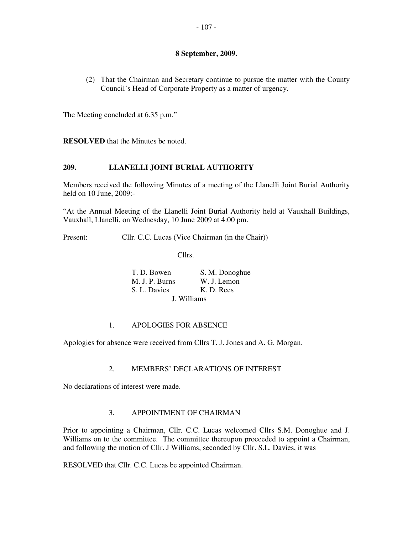(2) That the Chairman and Secretary continue to pursue the matter with the County Council's Head of Corporate Property as a matter of urgency.

The Meeting concluded at 6.35 p.m."

**RESOLVED** that the Minutes be noted.

### **209. LLANELLI JOINT BURIAL AUTHORITY**

Members received the following Minutes of a meeting of the Llanelli Joint Burial Authority held on 10 June, 2009:-

"At the Annual Meeting of the Llanelli Joint Burial Authority held at Vauxhall Buildings, Vauxhall, Llanelli, on Wednesday, 10 June 2009 at 4:00 pm.

Present: Cllr. C.C. Lucas (Vice Chairman (in the Chair))

Cllrs.

| T. D. Bowen    | S. M. Donoghue |  |
|----------------|----------------|--|
| M. J. P. Burns | W. J. Lemon    |  |
| S. L. Davies   | K. D. Rees     |  |
|                | J. Williams    |  |

### 1. APOLOGIES FOR ABSENCE

Apologies for absence were received from Cllrs T. J. Jones and A. G. Morgan.

### 2. MEMBERS' DECLARATIONS OF INTEREST

No declarations of interest were made.

### 3. APPOINTMENT OF CHAIRMAN

Prior to appointing a Chairman, Cllr. C.C. Lucas welcomed Cllrs S.M. Donoghue and J. Williams on to the committee. The committee thereupon proceeded to appoint a Chairman, and following the motion of Cllr. J Williams, seconded by Cllr. S.L. Davies, it was

RESOLVED that Cllr. C.C. Lucas be appointed Chairman.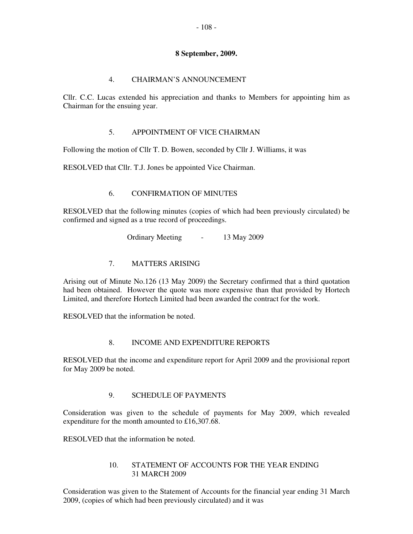### 4. CHAIRMAN'S ANNOUNCEMENT

Cllr. C.C. Lucas extended his appreciation and thanks to Members for appointing him as Chairman for the ensuing year.

### 5. APPOINTMENT OF VICE CHAIRMAN

Following the motion of Cllr T. D. Bowen, seconded by Cllr J. Williams, it was

RESOLVED that Cllr. T.J. Jones be appointed Vice Chairman.

### 6. CONFIRMATION OF MINUTES

RESOLVED that the following minutes (copies of which had been previously circulated) be confirmed and signed as a true record of proceedings.

Ordinary Meeting - 13 May 2009

# 7. MATTERS ARISING

Arising out of Minute No.126 (13 May 2009) the Secretary confirmed that a third quotation had been obtained. However the quote was more expensive than that provided by Hortech Limited, and therefore Hortech Limited had been awarded the contract for the work.

RESOLVED that the information be noted.

### 8. INCOME AND EXPENDITURE REPORTS

RESOLVED that the income and expenditure report for April 2009 and the provisional report for May 2009 be noted.

# 9. SCHEDULE OF PAYMENTS

Consideration was given to the schedule of payments for May 2009, which revealed expenditure for the month amounted to £16,307.68.

RESOLVED that the information be noted.

### 10. STATEMENT OF ACCOUNTS FOR THE YEAR ENDING 31 MARCH 2009

Consideration was given to the Statement of Accounts for the financial year ending 31 March 2009, (copies of which had been previously circulated) and it was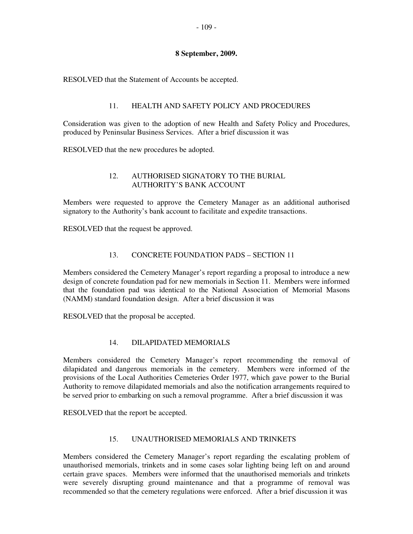RESOLVED that the Statement of Accounts be accepted.

### 11. HEALTH AND SAFETY POLICY AND PROCEDURES

Consideration was given to the adoption of new Health and Safety Policy and Procedures, produced by Peninsular Business Services. After a brief discussion it was

RESOLVED that the new procedures be adopted.

### 12. AUTHORISED SIGNATORY TO THE BURIAL AUTHORITY'S BANK ACCOUNT

Members were requested to approve the Cemetery Manager as an additional authorised signatory to the Authority's bank account to facilitate and expedite transactions.

RESOLVED that the request be approved.

### 13. CONCRETE FOUNDATION PADS – SECTION 11

Members considered the Cemetery Manager's report regarding a proposal to introduce a new design of concrete foundation pad for new memorials in Section 11. Members were informed that the foundation pad was identical to the National Association of Memorial Masons (NAMM) standard foundation design. After a brief discussion it was

RESOLVED that the proposal be accepted.

# 14. DILAPIDATED MEMORIALS

Members considered the Cemetery Manager's report recommending the removal of dilapidated and dangerous memorials in the cemetery. Members were informed of the provisions of the Local Authorities Cemeteries Order 1977, which gave power to the Burial Authority to remove dilapidated memorials and also the notification arrangements required to be served prior to embarking on such a removal programme. After a brief discussion it was

RESOLVED that the report be accepted.

# 15. UNAUTHORISED MEMORIALS AND TRINKETS

Members considered the Cemetery Manager's report regarding the escalating problem of unauthorised memorials, trinkets and in some cases solar lighting being left on and around certain grave spaces. Members were informed that the unauthorised memorials and trinkets were severely disrupting ground maintenance and that a programme of removal was recommended so that the cemetery regulations were enforced. After a brief discussion it was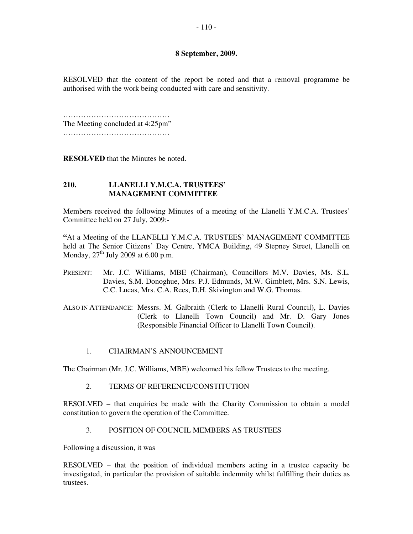RESOLVED that the content of the report be noted and that a removal programme be authorised with the work being conducted with care and sensitivity.

…………………………………………… The Meeting concluded at 4:25pm" …………………………………………

**RESOLVED** that the Minutes be noted.

## **210. LLANELLI Y.M.C.A. TRUSTEES' MANAGEMENT COMMITTEE**

Members received the following Minutes of a meeting of the Llanelli Y.M.C.A. Trustees' Committee held on 27 July, 2009:-

**"**At a Meeting of the LLANELLI Y.M.C.A. TRUSTEES' MANAGEMENT COMMITTEE held at The Senior Citizens' Day Centre, YMCA Building, 49 Stepney Street, Llanelli on Monday,  $27<sup>th</sup>$  July 2009 at 6.00 p.m.

- PRESENT: Mr. J.C. Williams, MBE (Chairman), Councillors M.V. Davies, Ms. S.L. Davies, S.M. Donoghue, Mrs. P.J. Edmunds, M.W. Gimblett, Mrs. S.N. Lewis, C.C. Lucas, Mrs. C.A. Rees, D.H. Skivington and W.G. Thomas.
- ALSO IN ATTENDANCE: Messrs. M. Galbraith (Clerk to Llanelli Rural Council), L. Davies (Clerk to Llanelli Town Council) and Mr. D. Gary Jones (Responsible Financial Officer to Llanelli Town Council).
	- 1. CHAIRMAN'S ANNOUNCEMENT

The Chairman (Mr. J.C. Williams, MBE) welcomed his fellow Trustees to the meeting.

2. TERMS OF REFERENCE/CONSTITUTION

RESOLVED – that enquiries be made with the Charity Commission to obtain a model constitution to govern the operation of the Committee.

# 3. POSITION OF COUNCIL MEMBERS AS TRUSTEES

Following a discussion, it was

RESOLVED – that the position of individual members acting in a trustee capacity be investigated, in particular the provision of suitable indemnity whilst fulfilling their duties as trustees.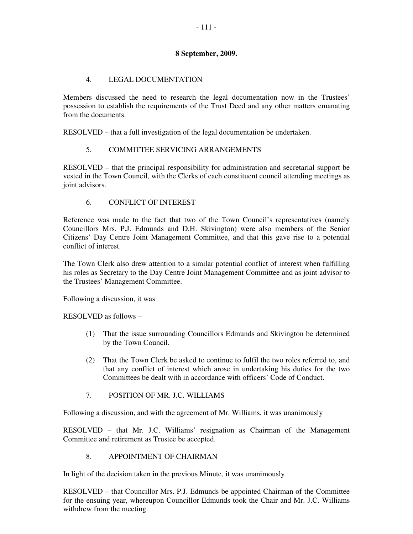### 4. LEGAL DOCUMENTATION

Members discussed the need to research the legal documentation now in the Trustees' possession to establish the requirements of the Trust Deed and any other matters emanating from the documents.

RESOLVED – that a full investigation of the legal documentation be undertaken.

## 5. COMMITTEE SERVICING ARRANGEMENTS

RESOLVED – that the principal responsibility for administration and secretarial support be vested in the Town Council, with the Clerks of each constituent council attending meetings as joint advisors.

### 6. CONFLICT OF INTEREST

Reference was made to the fact that two of the Town Council's representatives (namely Councillors Mrs. P.J. Edmunds and D.H. Skivington) were also members of the Senior Citizens' Day Centre Joint Management Committee, and that this gave rise to a potential conflict of interest.

The Town Clerk also drew attention to a similar potential conflict of interest when fulfilling his roles as Secretary to the Day Centre Joint Management Committee and as joint advisor to the Trustees' Management Committee.

Following a discussion, it was

RESOLVED as follows –

- (1) That the issue surrounding Councillors Edmunds and Skivington be determined by the Town Council.
- (2) That the Town Clerk be asked to continue to fulfil the two roles referred to, and that any conflict of interest which arose in undertaking his duties for the two Committees be dealt with in accordance with officers' Code of Conduct.
- 7. POSITION OF MR. J.C. WILLIAMS

Following a discussion, and with the agreement of Mr. Williams, it was unanimously

RESOLVED – that Mr. J.C. Williams' resignation as Chairman of the Management Committee and retirement as Trustee be accepted.

### 8. APPOINTMENT OF CHAIRMAN

In light of the decision taken in the previous Minute, it was unanimously

RESOLVED – that Councillor Mrs. P.J. Edmunds be appointed Chairman of the Committee for the ensuing year, whereupon Councillor Edmunds took the Chair and Mr. J.C. Williams withdrew from the meeting.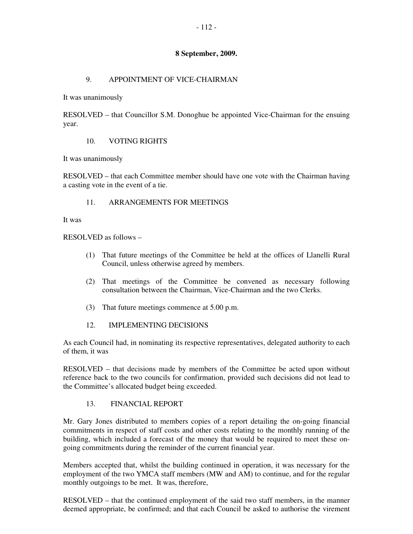# 9. APPOINTMENT OF VICE-CHAIRMAN

It was unanimously

RESOLVED – that Councillor S.M. Donoghue be appointed Vice-Chairman for the ensuing year.

# 10. VOTING RIGHTS

It was unanimously

RESOLVED – that each Committee member should have one vote with the Chairman having a casting vote in the event of a tie.

# 11. ARRANGEMENTS FOR MEETINGS

It was

RESOLVED as follows –

- (1) That future meetings of the Committee be held at the offices of Llanelli Rural Council, unless otherwise agreed by members.
- (2) That meetings of the Committee be convened as necessary following consultation between the Chairman, Vice-Chairman and the two Clerks.
- (3) That future meetings commence at 5.00 p.m.
- 12. IMPLEMENTING DECISIONS

As each Council had, in nominating its respective representatives, delegated authority to each of them, it was

RESOLVED – that decisions made by members of the Committee be acted upon without reference back to the two councils for confirmation, provided such decisions did not lead to the Committee's allocated budget being exceeded.

# 13. FINANCIAL REPORT

Mr. Gary Jones distributed to members copies of a report detailing the on-going financial commitments in respect of staff costs and other costs relating to the monthly running of the building, which included a forecast of the money that would be required to meet these ongoing commitments during the reminder of the current financial year.

Members accepted that, whilst the building continued in operation, it was necessary for the employment of the two YMCA staff members (MW and AM) to continue, and for the regular monthly outgoings to be met. It was, therefore,

RESOLVED – that the continued employment of the said two staff members, in the manner deemed appropriate, be confirmed; and that each Council be asked to authorise the virement